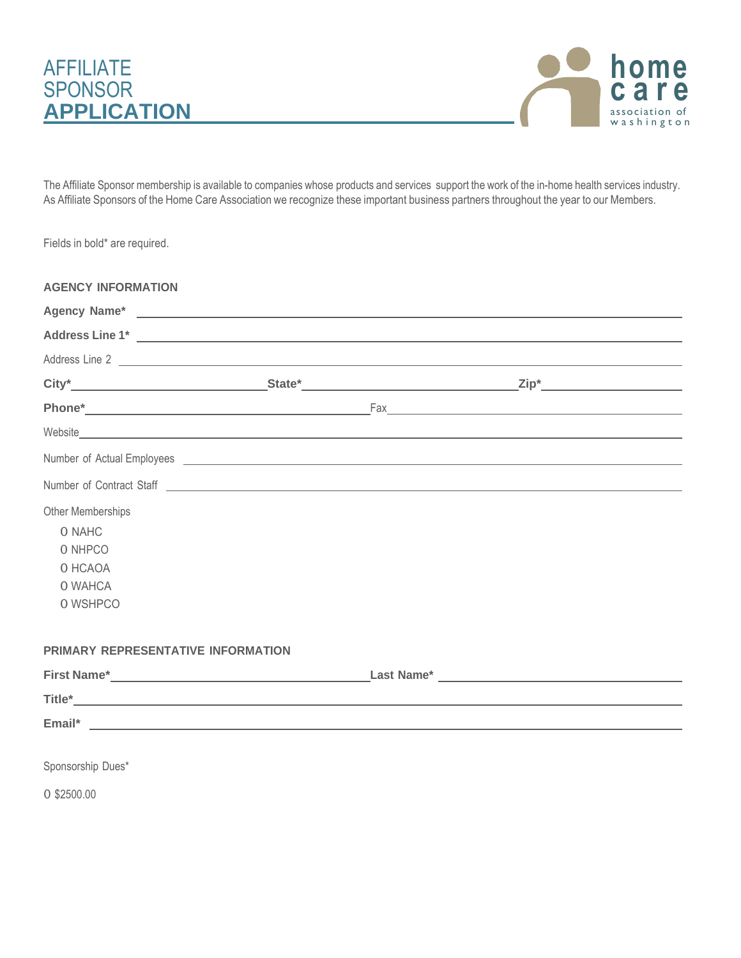



The Affiliate Sponsor membership is available to companies whose products and services support the work of the in-home health services industry. As Affiliate Sponsors of the Home Care Association we recognize these important business partners throughout the year to our Members.

Fields in bold\* are required.

| <b>AGENCY INFORMATION</b>                                                                                                                                                                                                            |  |  |
|--------------------------------------------------------------------------------------------------------------------------------------------------------------------------------------------------------------------------------------|--|--|
|                                                                                                                                                                                                                                      |  |  |
| Address Line 1* <u>New York: Address Line 1* New York: New York: New York: New York: New York: New York: New York: New York: New York: New York: New York: New York: New York: New York: New York: New York: New York: New York:</u> |  |  |
| Address Line 2                                                                                                                                                                                                                       |  |  |
|                                                                                                                                                                                                                                      |  |  |
|                                                                                                                                                                                                                                      |  |  |
| Website                                                                                                                                                                                                                              |  |  |
| Number of Actual Employees <u>experience</u> and the second second second second second second second second second second second second second second second second second second second second second second second second second  |  |  |
| Number of Contract Staff <u>example and the set of the set of the set of the set of the set of the set of the set of the set of the set of the set of the set of the set of the set of the set of the set of the set of the set </u> |  |  |
| <b>Other Memberships</b>                                                                                                                                                                                                             |  |  |
| O NAHC                                                                                                                                                                                                                               |  |  |
| O NHPCO                                                                                                                                                                                                                              |  |  |
| O HCAOA                                                                                                                                                                                                                              |  |  |
| O WAHCA                                                                                                                                                                                                                              |  |  |
| O WSHPCO                                                                                                                                                                                                                             |  |  |
| PRIMARY REPRESENTATIVE INFORMATION                                                                                                                                                                                                   |  |  |
|                                                                                                                                                                                                                                      |  |  |
|                                                                                                                                                                                                                                      |  |  |
|                                                                                                                                                                                                                                      |  |  |
|                                                                                                                                                                                                                                      |  |  |

Sponsorship Dues\*

0 \$2500.00